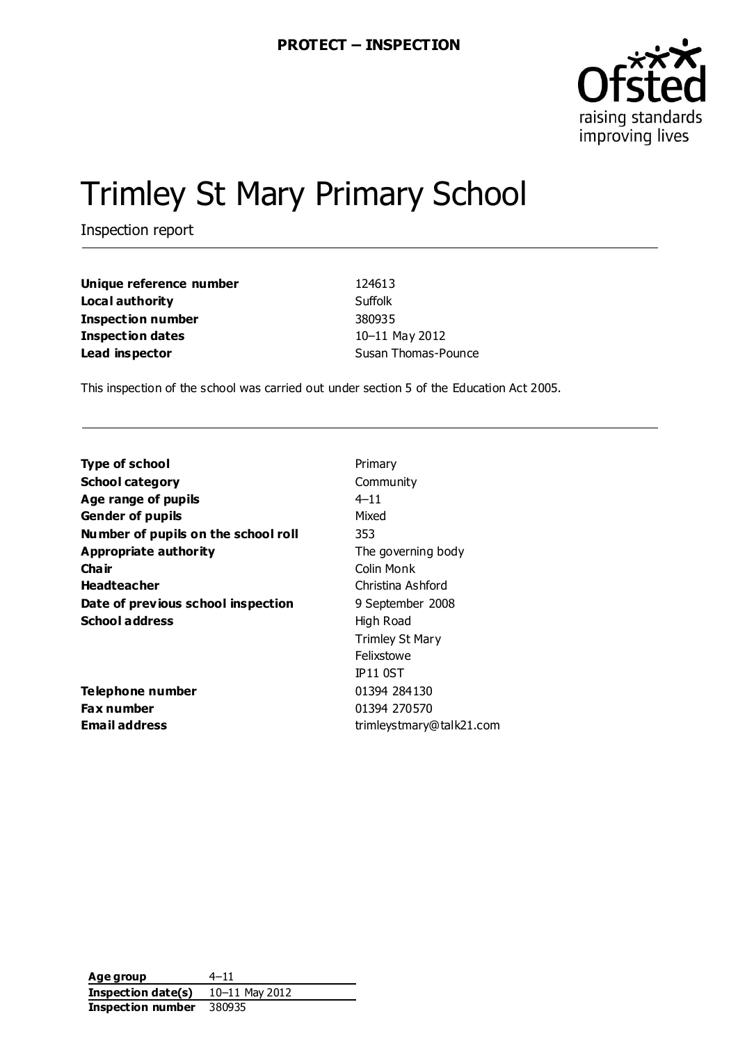

# Trimley St Mary Primary School

Inspection report

| Unique reference number  | 124613              |
|--------------------------|---------------------|
| Local authority          | Suffolk             |
| <b>Inspection number</b> | 380935              |
| <b>Inspection dates</b>  | 10-11 May 2012      |
| Lead inspector           | Susan Thomas-Pounce |

This inspection of the school was carried out under section 5 of the Education Act 2005.

| <b>Type of school</b>               | Primary                  |
|-------------------------------------|--------------------------|
| <b>School category</b>              | Community                |
| Age range of pupils                 | $4 - 11$                 |
| <b>Gender of pupils</b>             | Mixed                    |
| Number of pupils on the school roll | 353                      |
| Appropriate authority               | The governing body       |
| Cha ir                              | Colin Monk               |
| <b>Headteacher</b>                  | Christina Ashford        |
| Date of previous school inspection  | 9 September 2008         |
| <b>School address</b>               | High Road                |
|                                     | <b>Trimley St Mary</b>   |
|                                     | Felixstowe               |
|                                     | <b>IP11 0ST</b>          |
| Telephone number                    | 01394 284130             |
| <b>Fax number</b>                   | 01394 270570             |
| Email address                       | trimleystmary@talk21.com |
|                                     |                          |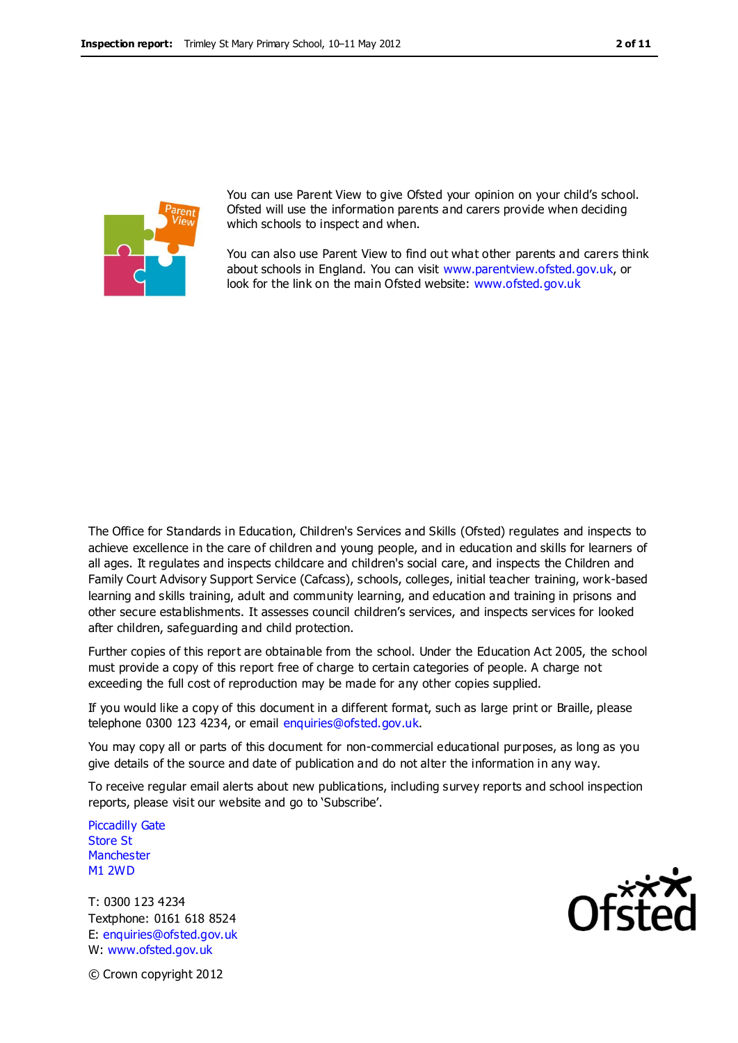

You can use Parent View to give Ofsted your opinion on your child's school. Ofsted will use the information parents and carers provide when deciding which schools to inspect and when.

You can also use Parent View to find out what other parents and carers think about schools in England. You can visit [www.parentview.ofsted.gov.uk,](http://www.parentview.ofsted.gov.uk/) or look for the link on the main Ofsted website: [www.ofsted.gov.uk](http://www.ofsted.gov.uk/)

The Office for Standards in Education, Children's Services and Skills (Ofsted) regulates and inspects to achieve excellence in the care of children and young people, and in education and skills for learners of all ages. It regulates and inspects childcare and children's social care, and inspects the Children and Family Court Advisory Support Service (Cafcass), schools, colleges, initial teacher training, work-based learning and skills training, adult and community learning, and education and training in prisons and other secure establishments. It assesses council children's services, and inspects services for looked after children, safeguarding and child protection.

Further copies of this report are obtainable from the school. Under the Education Act 2005, the school must provide a copy of this report free of charge to certain categories of people. A charge not exceeding the full cost of reproduction may be made for any other copies supplied.

If you would like a copy of this document in a different format, such as large print or Braille, please telephone 0300 123 4234, or email enquiries@ofsted.gov.uk.

You may copy all or parts of this document for non-commercial educational purposes, as long as you give details of the source and date of publication and do not alter the information in any way.

To receive regular email alerts about new publications, including survey reports and school inspection reports, please visit our website and go to 'Subscribe'.

Piccadilly Gate Store St **Manchester** M1 2WD

T: 0300 123 4234 Textphone: 0161 618 8524 E: enquiries@ofsted.gov.uk W: www.ofsted.gov.uk



© Crown copyright 2012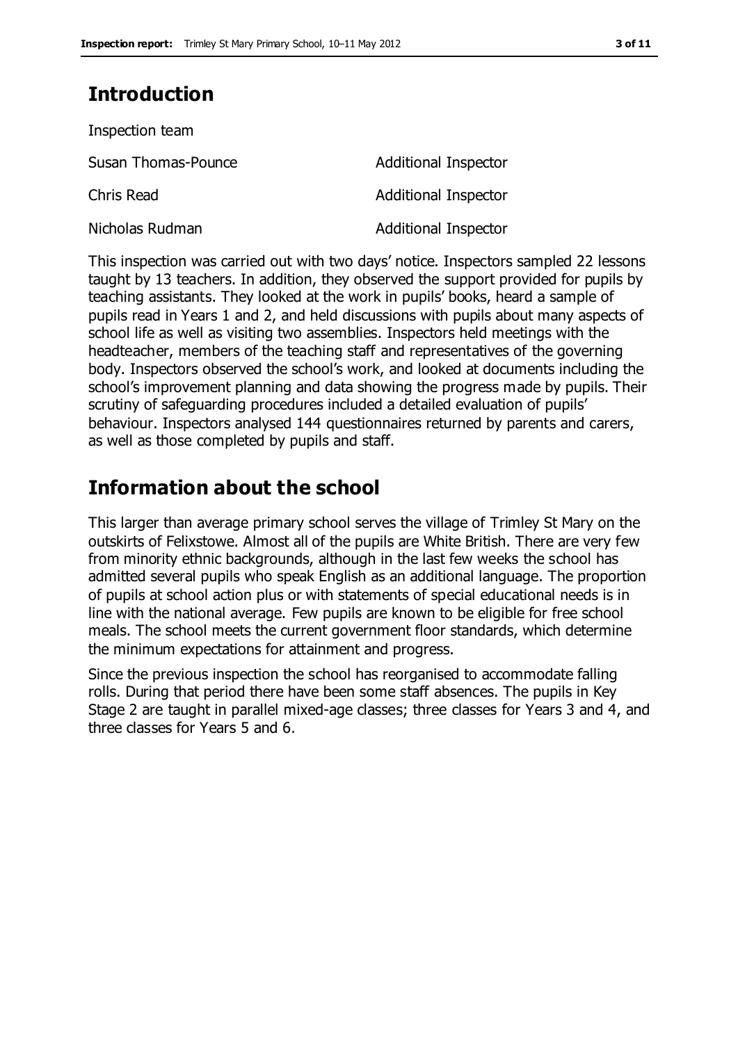# **Introduction**

| Inspection team     |                             |
|---------------------|-----------------------------|
| Susan Thomas-Pounce | Additional Inspector        |
| Chris Read          | <b>Additional Inspector</b> |
| Nicholas Rudman     | <b>Additional Inspector</b> |

This inspection was carried out with two days' notice. Inspectors sampled 22 lessons taught by 13 teachers. In addition, they observed the support provided for pupils by teaching assistants. They looked at the work in pupils' books, heard a sample of pupils read in Years 1 and 2, and held discussions with pupils about many aspects of school life as well as visiting two assemblies. Inspectors held meetings with the headteacher, members of the teaching staff and representatives of the governing body. Inspectors observed the school's work, and looked at documents including the school's improvement planning and data showing the progress made by pupils. Their scrutiny of safeguarding procedures included a detailed evaluation of pupils' behaviour. Inspectors analysed 144 questionnaires returned by parents and carers, as well as those completed by pupils and staff.

# **Information about the school**

This larger than average primary school serves the village of Trimley St Mary on the outskirts of Felixstowe. Almost all of the pupils are White British. There are very few from minority ethnic backgrounds, although in the last few weeks the school has admitted several pupils who speak English as an additional language. The proportion of pupils at school action plus or with statements of special educational needs is in line with the national average. Few pupils are known to be eligible for free school meals. The school meets the current government floor standards, which determine the minimum expectations for attainment and progress.

Since the previous inspection the school has reorganised to accommodate falling rolls. During that period there have been some staff absences. The pupils in Key Stage 2 are taught in parallel mixed-age classes; three classes for Years 3 and 4, and three classes for Years 5 and 6.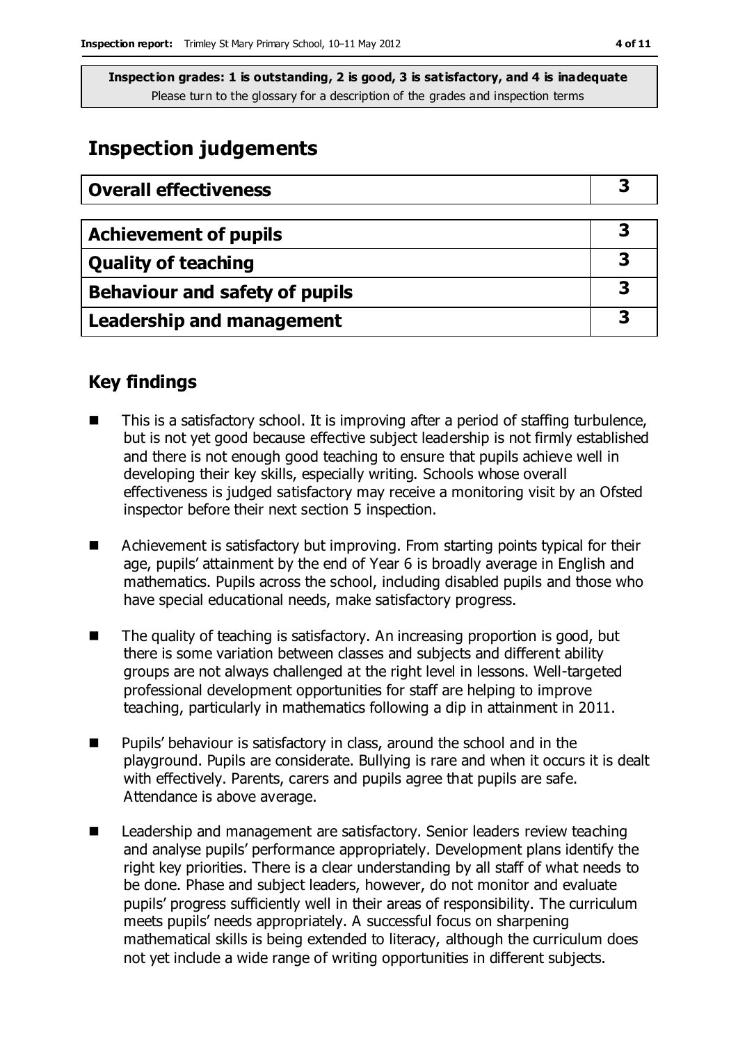# **Inspection judgements**

| <b>Overall effectiveness</b>     |  |
|----------------------------------|--|
|                                  |  |
| <b>Achievement of pupils</b>     |  |
| <b>Quality of teaching</b>       |  |
| Behaviour and safety of pupils   |  |
| <b>Leadership and management</b> |  |

# **Key findings**

- This is a satisfactory school. It is improving after a period of staffing turbulence, but is not yet good because effective subject leadership is not firmly established and there is not enough good teaching to ensure that pupils achieve well in developing their key skills, especially writing. Schools whose overall effectiveness is judged satisfactory may receive a monitoring visit by an Ofsted inspector before their next section 5 inspection.
- Achievement is satisfactory but improving. From starting points typical for their age, pupils' attainment by the end of Year 6 is broadly average in English and mathematics. Pupils across the school, including disabled pupils and those who have special educational needs, make satisfactory progress.
- The quality of teaching is satisfactory. An increasing proportion is good, but there is some variation between classes and subjects and different ability groups are not always challenged at the right level in lessons. Well-targeted professional development opportunities for staff are helping to improve teaching, particularly in mathematics following a dip in attainment in 2011.
- Pupils' behaviour is satisfactory in class, around the school and in the playground. Pupils are considerate. Bullying is rare and when it occurs it is dealt with effectively. Parents, carers and pupils agree that pupils are safe. Attendance is above average.
- Leadership and management are satisfactory. Senior leaders review teaching and analyse pupils' performance appropriately. Development plans identify the right key priorities. There is a clear understanding by all staff of what needs to be done. Phase and subject leaders, however, do not monitor and evaluate pupils' progress sufficiently well in their areas of responsibility. The curriculum meets pupils' needs appropriately. A successful focus on sharpening mathematical skills is being extended to literacy, although the curriculum does not yet include a wide range of writing opportunities in different subjects.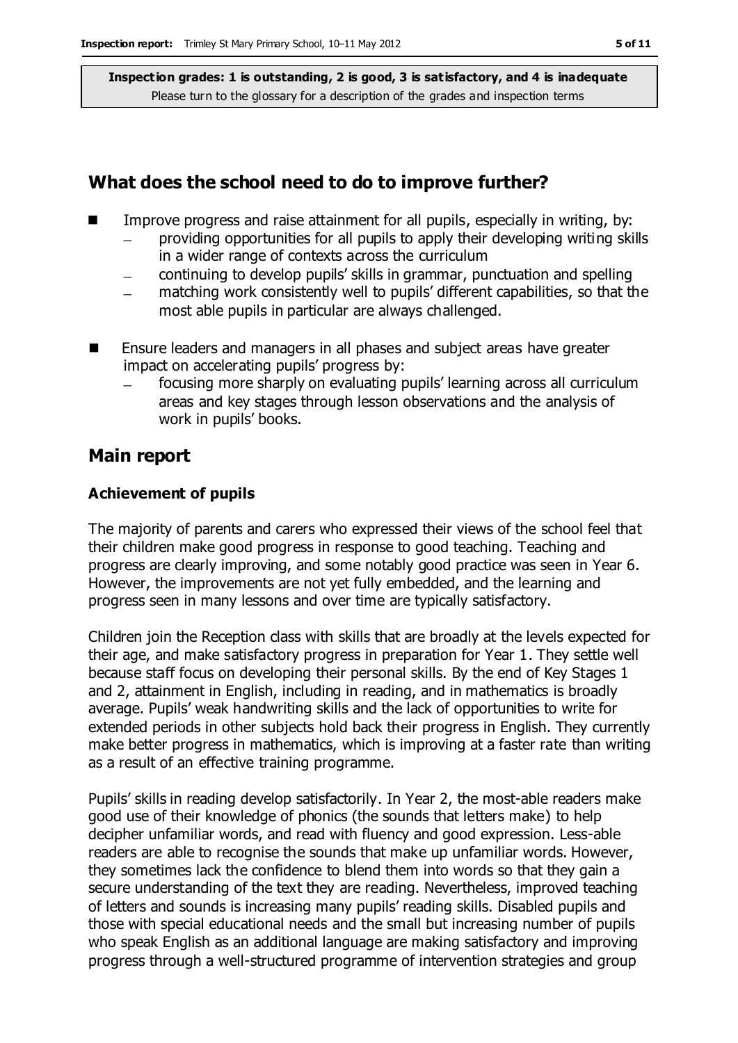# **What does the school need to do to improve further?**

- Improve progress and raise attainment for all pupils, especially in writing, by:
	- providing opportunities for all pupils to apply their developing writing skills in a wider range of contexts across the curriculum
	- continuing to develop pupils' skills in grammar, punctuation and spelling
	- matching work consistently well to pupils' different capabilities, so that the  $\equiv$ most able pupils in particular are always challenged.
- Ensure leaders and managers in all phases and subject areas have greater impact on accelerating pupils' progress by:
	- focusing more sharply on evaluating pupils' learning across all curriculum areas and key stages through lesson observations and the analysis of work in pupils' books.

## **Main report**

#### **Achievement of pupils**

The majority of parents and carers who expressed their views of the school feel that their children make good progress in response to good teaching. Teaching and progress are clearly improving, and some notably good practice was seen in Year 6. However, the improvements are not yet fully embedded, and the learning and progress seen in many lessons and over time are typically satisfactory.

Children join the Reception class with skills that are broadly at the levels expected for their age, and make satisfactory progress in preparation for Year 1. They settle well because staff focus on developing their personal skills. By the end of Key Stages 1 and 2, attainment in English, including in reading, and in mathematics is broadly average. Pupils' weak handwriting skills and the lack of opportunities to write for extended periods in other subjects hold back their progress in English. They currently make better progress in mathematics, which is improving at a faster rate than writing as a result of an effective training programme.

Pupils' skills in reading develop satisfactorily. In Year 2, the most-able readers make good use of their knowledge of phonics (the sounds that letters make) to help decipher unfamiliar words, and read with fluency and good expression. Less-able readers are able to recognise the sounds that make up unfamiliar words. However, they sometimes lack the confidence to blend them into words so that they gain a secure understanding of the text they are reading. Nevertheless, improved teaching of letters and sounds is increasing many pupils' reading skills. Disabled pupils and those with special educational needs and the small but increasing number of pupils who speak English as an additional language are making satisfactory and improving progress through a well-structured programme of intervention strategies and group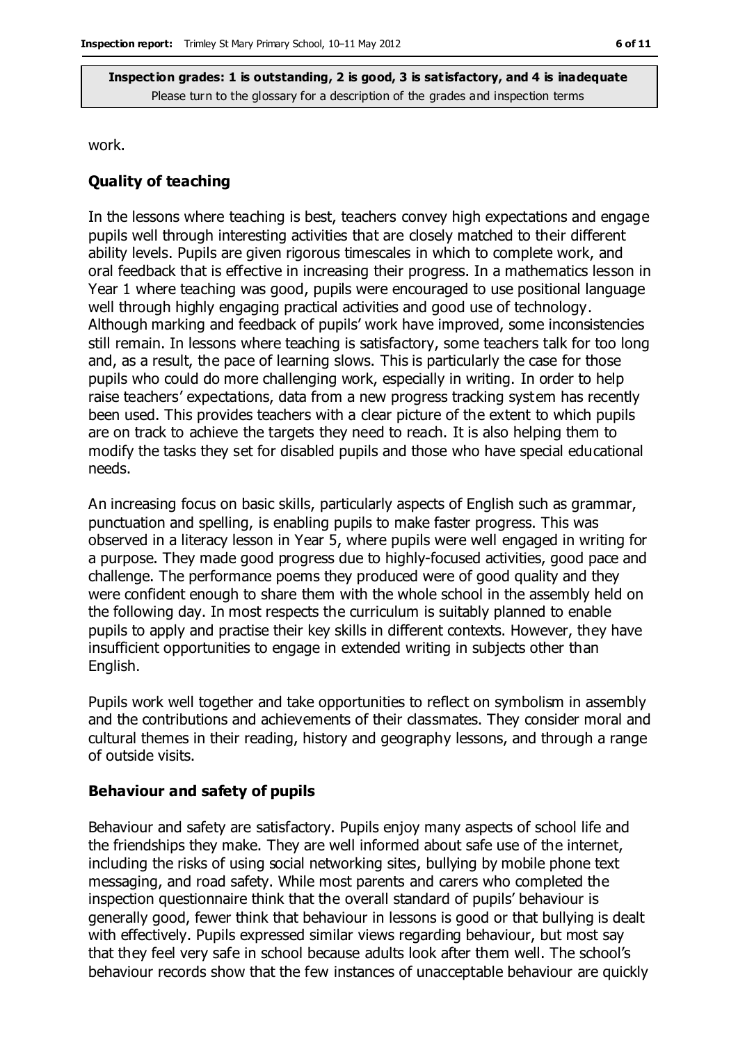work.

#### **Quality of teaching**

In the lessons where teaching is best, teachers convey high expectations and engage pupils well through interesting activities that are closely matched to their different ability levels. Pupils are given rigorous timescales in which to complete work, and oral feedback that is effective in increasing their progress. In a mathematics lesson in Year 1 where teaching was good, pupils were encouraged to use positional language well through highly engaging practical activities and good use of technology. Although marking and feedback of pupils' work have improved, some inconsistencies still remain. In lessons where teaching is satisfactory, some teachers talk for too long and, as a result, the pace of learning slows. This is particularly the case for those pupils who could do more challenging work, especially in writing. In order to help raise teachers' expectations, data from a new progress tracking system has recently been used. This provides teachers with a clear picture of the extent to which pupils are on track to achieve the targets they need to reach. It is also helping them to modify the tasks they set for disabled pupils and those who have special educational needs.

An increasing focus on basic skills, particularly aspects of English such as grammar, punctuation and spelling, is enabling pupils to make faster progress. This was observed in a literacy lesson in Year 5, where pupils were well engaged in writing for a purpose. They made good progress due to highly-focused activities, good pace and challenge. The performance poems they produced were of good quality and they were confident enough to share them with the whole school in the assembly held on the following day. In most respects the curriculum is suitably planned to enable pupils to apply and practise their key skills in different contexts. However, they have insufficient opportunities to engage in extended writing in subjects other than English.

Pupils work well together and take opportunities to reflect on symbolism in assembly and the contributions and achievements of their classmates. They consider moral and cultural themes in their reading, history and geography lessons, and through a range of outside visits.

#### **Behaviour and safety of pupils**

Behaviour and safety are satisfactory. Pupils enjoy many aspects of school life and the friendships they make. They are well informed about safe use of the internet, including the risks of using social networking sites, bullying by mobile phone text messaging, and road safety. While most parents and carers who completed the inspection questionnaire think that the overall standard of pupils' behaviour is generally good, fewer think that behaviour in lessons is good or that bullying is dealt with effectively. Pupils expressed similar views regarding behaviour, but most say that they feel very safe in school because adults look after them well. The school's behaviour records show that the few instances of unacceptable behaviour are quickly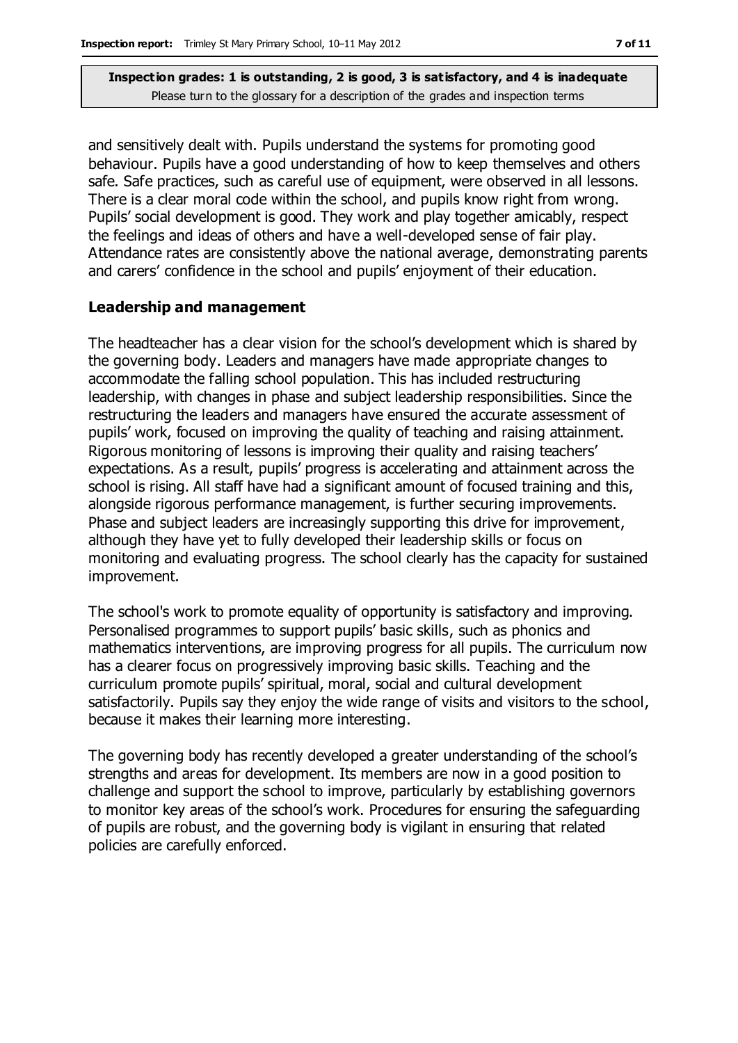and sensitively dealt with. Pupils understand the systems for promoting good behaviour. Pupils have a good understanding of how to keep themselves and others safe. Safe practices, such as careful use of equipment, were observed in all lessons. There is a clear moral code within the school, and pupils know right from wrong. Pupils' social development is good. They work and play together amicably, respect the feelings and ideas of others and have a well-developed sense of fair play. Attendance rates are consistently above the national average, demonstrating parents and carers' confidence in the school and pupils' enjoyment of their education.

#### **Leadership and management**

The headteacher has a clear vision for the school's development which is shared by the governing body. Leaders and managers have made appropriate changes to accommodate the falling school population. This has included restructuring leadership, with changes in phase and subject leadership responsibilities. Since the restructuring the leaders and managers have ensured the accurate assessment of pupils' work, focused on improving the quality of teaching and raising attainment. Rigorous monitoring of lessons is improving their quality and raising teachers' expectations. As a result, pupils' progress is accelerating and attainment across the school is rising. All staff have had a significant amount of focused training and this, alongside rigorous performance management, is further securing improvements. Phase and subject leaders are increasingly supporting this drive for improvement, although they have yet to fully developed their leadership skills or focus on monitoring and evaluating progress. The school clearly has the capacity for sustained improvement.

The school's work to promote equality of opportunity is satisfactory and improving. Personalised programmes to support pupils' basic skills, such as phonics and mathematics interventions, are improving progress for all pupils. The curriculum now has a clearer focus on progressively improving basic skills. Teaching and the curriculum promote pupils' spiritual, moral, social and cultural development satisfactorily. Pupils say they enjoy the wide range of visits and visitors to the school, because it makes their learning more interesting.

The governing body has recently developed a greater understanding of the school's strengths and areas for development. Its members are now in a good position to challenge and support the school to improve, particularly by establishing governors to monitor key areas of the school's work. Procedures for ensuring the safeguarding of pupils are robust, and the governing body is vigilant in ensuring that related policies are carefully enforced.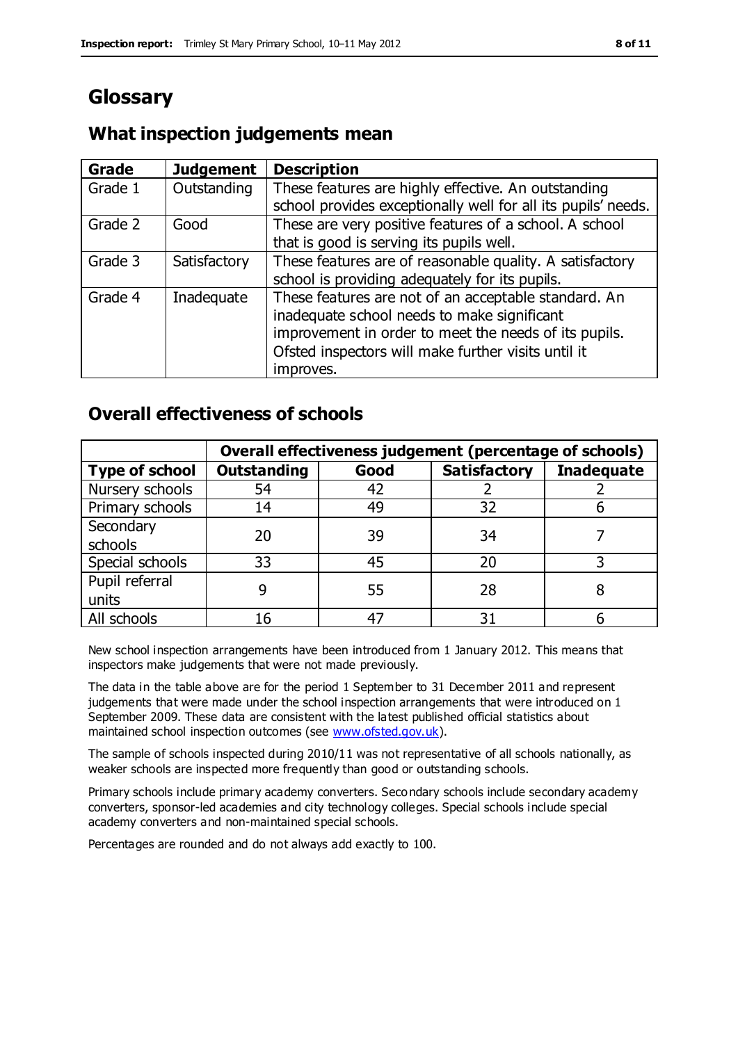# **Glossary**

### **Grade Judgement Description** Grade  $1$  | Outstanding | These features are highly effective. An outstanding school provides exceptionally well for all its pupils' needs. Grade 2 Good These are very positive features of a school. A school that is good is serving its pupils well. Grade 3  $\parallel$  Satisfactory  $\parallel$  These features are of reasonable quality. A satisfactory school is providing adequately for its pupils. Grade 4  $\parallel$  Inadequate  $\parallel$  These features are not of an acceptable standard. An inadequate school needs to make significant improvement in order to meet the needs of its pupils. Ofsted inspectors will make further visits until it improves.

# **What inspection judgements mean**

# **Overall effectiveness of schools**

|                       | Overall effectiveness judgement (percentage of schools) |      |                     |                   |
|-----------------------|---------------------------------------------------------|------|---------------------|-------------------|
| <b>Type of school</b> | <b>Outstanding</b>                                      | Good | <b>Satisfactory</b> | <b>Inadequate</b> |
| Nursery schools       | 54                                                      | 42   |                     |                   |
| Primary schools       | 14                                                      | 49   | 32                  |                   |
| Secondary             | 20                                                      | 39   | 34                  |                   |
| schools               |                                                         |      |                     |                   |
| Special schools       | 33                                                      | 45   | 20                  |                   |
| Pupil referral        |                                                         | 55   | 28                  |                   |
| units                 |                                                         |      |                     |                   |
| All schools           | 16                                                      | 47   | 3٠                  |                   |

New school inspection arrangements have been introduced from 1 January 2012. This means that inspectors make judgements that were not made previously.

The data in the table above are for the period 1 September to 31 December 2011 and represent judgements that were made under the school inspection arrangements that were introduced on 1 September 2009. These data are consistent with the latest published official statistics about maintained school inspection outcomes (see [www.ofsted.gov.uk\)](http://www.ofsted.gov.uk/).

The sample of schools inspected during 2010/11 was not representative of all schools nationally, as weaker schools are inspected more frequently than good or outstanding schools.

Primary schools include primary academy converters. Secondary schools include secondary academy converters, sponsor-led academies and city technology colleges. Special schools include special academy converters and non-maintained special schools.

Percentages are rounded and do not always add exactly to 100.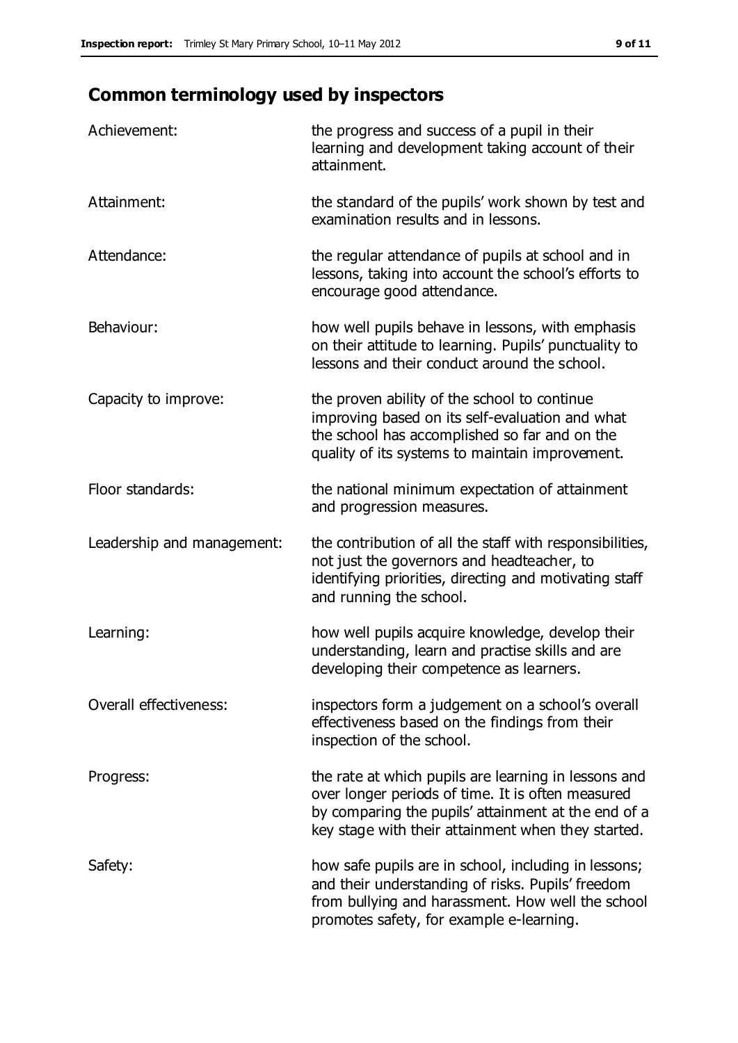# **Common terminology used by inspectors**

| Achievement:               | the progress and success of a pupil in their<br>learning and development taking account of their<br>attainment.                                                                                                        |
|----------------------------|------------------------------------------------------------------------------------------------------------------------------------------------------------------------------------------------------------------------|
| Attainment:                | the standard of the pupils' work shown by test and<br>examination results and in lessons.                                                                                                                              |
| Attendance:                | the regular attendance of pupils at school and in<br>lessons, taking into account the school's efforts to<br>encourage good attendance.                                                                                |
| Behaviour:                 | how well pupils behave in lessons, with emphasis<br>on their attitude to learning. Pupils' punctuality to<br>lessons and their conduct around the school.                                                              |
| Capacity to improve:       | the proven ability of the school to continue<br>improving based on its self-evaluation and what<br>the school has accomplished so far and on the<br>quality of its systems to maintain improvement.                    |
| Floor standards:           | the national minimum expectation of attainment<br>and progression measures.                                                                                                                                            |
| Leadership and management: | the contribution of all the staff with responsibilities,<br>not just the governors and headteacher, to<br>identifying priorities, directing and motivating staff<br>and running the school.                            |
| Learning:                  | how well pupils acquire knowledge, develop their<br>understanding, learn and practise skills and are<br>developing their competence as learners.                                                                       |
| Overall effectiveness:     | inspectors form a judgement on a school's overall<br>effectiveness based on the findings from their<br>inspection of the school.                                                                                       |
| Progress:                  | the rate at which pupils are learning in lessons and<br>over longer periods of time. It is often measured<br>by comparing the pupils' attainment at the end of a<br>key stage with their attainment when they started. |
| Safety:                    | how safe pupils are in school, including in lessons;<br>and their understanding of risks. Pupils' freedom<br>from bullying and harassment. How well the school<br>promotes safety, for example e-learning.             |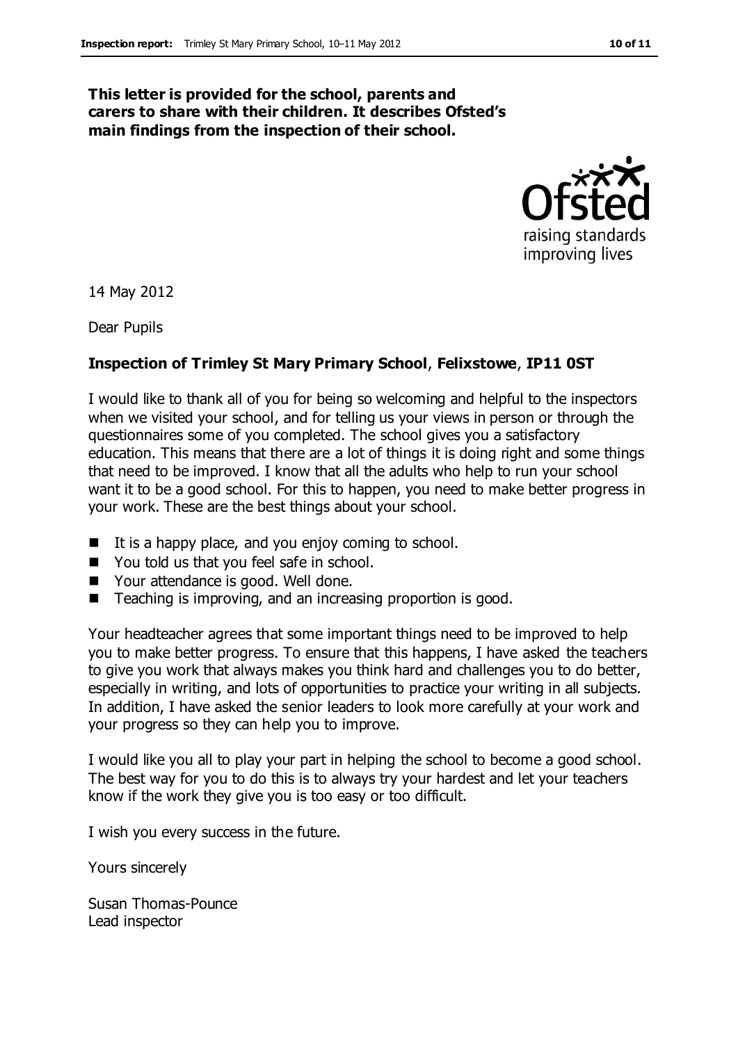#### **This letter is provided for the school, parents and carers to share with their children. It describes Ofsted's main findings from the inspection of their school.**



14 May 2012

Dear Pupils

### **Inspection of Trimley St Mary Primary School**, **Felixstowe**, **IP11 0ST**

I would like to thank all of you for being so welcoming and helpful to the inspectors when we visited your school, and for telling us your views in person or through the questionnaires some of you completed. The school gives you a satisfactory education. This means that there are a lot of things it is doing right and some things that need to be improved. I know that all the adults who help to run your school want it to be a good school. For this to happen, you need to make better progress in your work. These are the best things about your school.

- $\blacksquare$  It is a happy place, and you enjoy coming to school.
- You told us that you feel safe in school.
- Your attendance is good. Well done.
- Teaching is improving, and an increasing proportion is good.

Your headteacher agrees that some important things need to be improved to help you to make better progress. To ensure that this happens, I have asked the teachers to give you work that always makes you think hard and challenges you to do better, especially in writing, and lots of opportunities to practice your writing in all subjects. In addition, I have asked the senior leaders to look more carefully at your work and your progress so they can help you to improve.

I would like you all to play your part in helping the school to become a good school. The best way for you to do this is to always try your hardest and let your teachers know if the work they give you is too easy or too difficult.

I wish you every success in the future.

Yours sincerely

Susan Thomas-Pounce Lead inspector